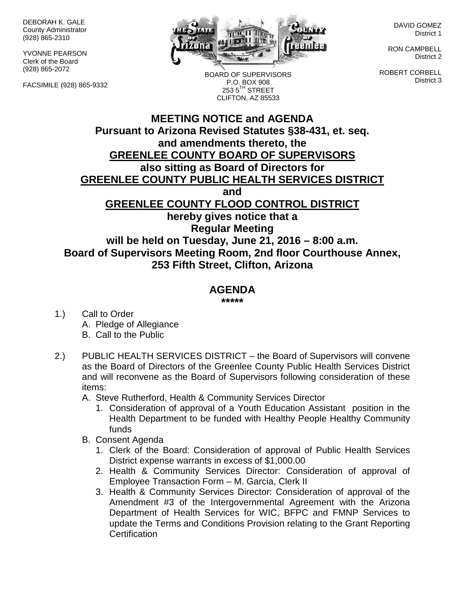DEBORAH K. GALE County Administrator (928) 865-2310

YVONNE PEARSON Clerk of the Board (928) 865-2072

FACSIMILE (928) 865-9332



BOARD OF SUPERVISORS P.O. BOX 908  $253.5$ <sup>TH</sup> STREET CLIFTON, AZ 85533

DAVID GOMEZ District 1

RON CAMPBELL District 2

ROBERT CORBELL District 3

## **MEETING NOTICE and AGENDA Pursuant to Arizona Revised Statutes §38-431, et. seq. and amendments thereto, the GREENLEE COUNTY BOARD OF SUPERVISORS also sitting as Board of Directors for GREENLEE COUNTY PUBLIC HEALTH SERVICES DISTRICT and GREENLEE COUNTY FLOOD CONTROL DISTRICT hereby gives notice that a Regular Meeting will be held on Tuesday, June 21, 2016 – 8:00 a.m. Board of Supervisors Meeting Room, 2nd floor Courthouse Annex, 253 Fifth Street, Clifton, Arizona**

## **AGENDA**

**\*\*\*\*\***

- 1.) Call to Order A. Pledge of Allegiance B. Call to the Public
- 2.) PUBLIC HEALTH SERVICES DISTRICT the Board of Supervisors will convene as the Board of Directors of the Greenlee County Public Health Services District and will reconvene as the Board of Supervisors following consideration of these items:
	- A. Steve Rutherford, Health & Community Services Director
		- 1. Consideration of approval of a Youth Education Assistant position in the Health Department to be funded with Healthy People Healthy Community funds
	- B. Consent Agenda
		- 1. Clerk of the Board: Consideration of approval of Public Health Services District expense warrants in excess of \$1,000.00
		- 2. Health & Community Services Director: Consideration of approval of Employee Transaction Form – M. Garcia, Clerk II
		- 3. Health & Community Services Director: Consideration of approval of the Amendment #3 of the Intergovernmental Agreement with the Arizona Department of Health Services for WIC, BFPC and FMNP Services to update the Terms and Conditions Provision relating to the Grant Reporting **Certification**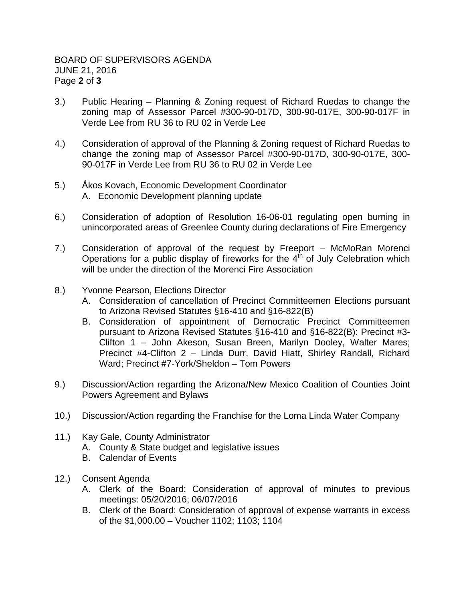- 3.) Public Hearing Planning & Zoning request of Richard Ruedas to change the zoning map of Assessor Parcel #300-90-017D, 300-90-017E, 300-90-017F in Verde Lee from RU 36 to RU 02 in Verde Lee
- 4.) Consideration of approval of the Planning & Zoning request of Richard Ruedas to change the zoning map of Assessor Parcel #300-90-017D, 300-90-017E, 300- 90-017F in Verde Lee from RU 36 to RU 02 in Verde Lee
- 5.) Ấkos Kovach, Economic Development Coordinator A. Economic Development planning update
- 6.) Consideration of adoption of Resolution 16-06-01 regulating open burning in unincorporated areas of Greenlee County during declarations of Fire Emergency
- 7.) Consideration of approval of the request by Freeport McMoRan Morenci Operations for a public display of fireworks for the  $4<sup>th</sup>$  of July Celebration which will be under the direction of the Morenci Fire Association
- 8.) Yvonne Pearson, Elections Director
	- A. Consideration of cancellation of Precinct Committeemen Elections pursuant to Arizona Revised Statutes §16-410 and §16-822(B)
	- B. Consideration of appointment of Democratic Precinct Committeemen pursuant to Arizona Revised Statutes §16-410 and §16-822(B): Precinct #3- Clifton 1 – John Akeson, Susan Breen, Marilyn Dooley, Walter Mares; Precinct #4-Clifton 2 – Linda Durr, David Hiatt, Shirley Randall, Richard Ward; Precinct #7-York/Sheldon – Tom Powers
- 9.) Discussion/Action regarding the Arizona/New Mexico Coalition of Counties Joint Powers Agreement and Bylaws
- 10.) Discussion/Action regarding the Franchise for the Loma Linda Water Company
- 11.) Kay Gale, County Administrator A. County & State budget and legislative issues B. Calendar of Events
- 12.) Consent Agenda
	- A. Clerk of the Board: Consideration of approval of minutes to previous meetings: 05/20/2016; 06/07/2016
	- B. Clerk of the Board: Consideration of approval of expense warrants in excess of the \$1,000.00 – Voucher 1102; 1103; 1104